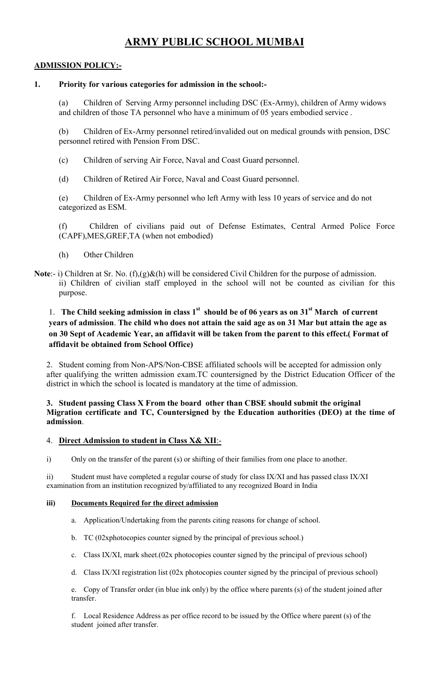# ARMY PUBLIC SCHOOL MUMBAI

# ADMISSION POLICY:-

## 1. Priority for various categories for admission in the school:-

(a) Children of Serving Army personnel including DSC (Ex-Army), children of Army widows and children of those TA personnel who have a minimum of 05 years embodied service .

(b) Children of Ex-Army personnel retired/invalided out on medical grounds with pension, DSC personnel retired with Pension From DSC.

- (c) Children of serving Air Force, Naval and Coast Guard personnel.
- (d) Children of Retired Air Force, Naval and Coast Guard personnel.

(e) Children of Ex-Army personnel who left Army with less 10 years of service and do not categorized as ESM.

(f) Children of civilians paid out of Defense Estimates, Central Armed Police Force (CAPF),MES,GREF,TA (when not embodied)

- (h) Other Children
- Note:- i) Children at Sr. No. (f),(g)&(h) will be considered Civil Children for the purpose of admission. ii) Children of civilian staff employed in the school will not be counted as civilian for this purpose.

# 1. The Child seeking admission in class  $1<sup>st</sup>$  should be of 06 years as on 31 $<sup>st</sup>$  March of current</sup> years of admission. The child who does not attain the said age as on 31 Mar but attain the age as on 30 Sept of Academic Year, an affidavit will be taken from the parent to this effect.( Format of affidavit be obtained from School Office)

2. Student coming from Non-APS/Non-CBSE affiliated schools will be accepted for admission only after qualifying the written admission exam.TC countersigned by the District Education Officer of the district in which the school is located is mandatory at the time of admission.

#### 3. Student passing Class X From the board other than CBSE should submit the original Migration certificate and TC, Countersigned by the Education authorities (DEO) at the time of admission.

#### 4. Direct Admission to student in Class X& XII:-

i) Only on the transfer of the parent (s) or shifting of their families from one place to another.

ii) Student must have completed a regular course of study for class IX/XI and has passed class IX/XI examination from an institution recognized by/affiliated to any recognized Board in India

#### iii) Documents Required for the direct admission

- a. Application/Undertaking from the parents citing reasons for change of school.
- b. TC (02xphotocopies counter signed by the principal of previous school.)
- c. Class IX/XI, mark sheet.(02x photocopies counter signed by the principal of previous school)
- d. Class IX/XI registration list (02x photocopies counter signed by the principal of previous school)

e. Copy of Transfer order (in blue ink only) by the office where parents (s) of the student joined after transfer.

f. Local Residence Address as per office record to be issued by the Office where parent (s) of the student joined after transfer.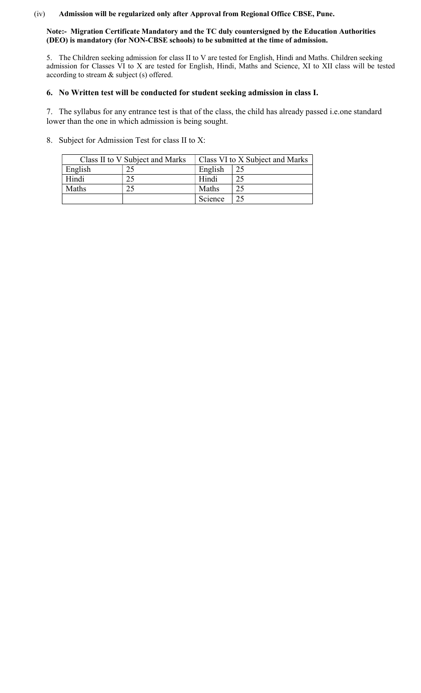#### (iv) Admission will be regularized only after Approval from Regional Office CBSE, Pune.

#### Note:- Migration Certificate Mandatory and the TC duly countersigned by the Education Authorities (DEO) is mandatory (for NON-CBSE schools) to be submitted at the time of admission.

5. The Children seeking admission for class II to V are tested for English, Hindi and Maths. Children seeking admission for Classes VI to X are tested for English, Hindi, Maths and Science, XI to XII class will be tested according to stream & subject (s) offered.

## 6. No Written test will be conducted for student seeking admission in class I.

7. The syllabus for any entrance test is that of the class, the child has already passed i.e.one standard lower than the one in which admission is being sought.

8. Subject for Admission Test for class II to X:

|         | Class II to V Subject and Marks | Class VI to X Subject and Marks |    |  |
|---------|---------------------------------|---------------------------------|----|--|
| English | 25                              | English                         | 25 |  |
| Hindi   |                                 | Hindi                           | 25 |  |
| Maths   |                                 | Maths                           | 25 |  |
|         |                                 | Science                         | つく |  |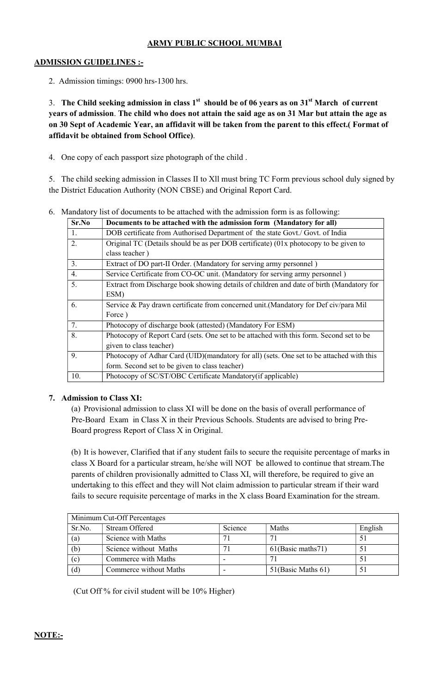# ARMY PUBLIC SCHOOL MUMBAI

#### ADMISSION GUIDELINES :-

2. Admission timings: 0900 hrs-1300 hrs.

3. The Child seeking admission in class  $1<sup>st</sup>$  should be of 06 years as on  $31<sup>st</sup>$  March of current years of admission. The child who does not attain the said age as on 31 Mar but attain the age as on 30 Sept of Academic Year, an affidavit will be taken from the parent to this effect.( Format of affidavit be obtained from School Office).

4. One copy of each passport size photograph of the child .

5. The child seeking admission in Classes II to Xll must bring TC Form previous school duly signed by the District Education Authority (NON CBSE) and Original Report Card.

|  |  |  | 6. Mandatory list of documents to be attached with the admission form is as following: |  |  |  |  |  |  |  |
|--|--|--|----------------------------------------------------------------------------------------|--|--|--|--|--|--|--|
|--|--|--|----------------------------------------------------------------------------------------|--|--|--|--|--|--|--|

| Sr.No | Documents to be attached with the admission form (Mandatory for all)                     |  |  |  |  |
|-------|------------------------------------------------------------------------------------------|--|--|--|--|
| 1.    | DOB certificate from Authorised Department of the state Govt./ Govt. of India            |  |  |  |  |
| 2.    | Original TC (Details should be as per DOB certificate) $(01x$ photocopy to be given to   |  |  |  |  |
|       | class teacher)                                                                           |  |  |  |  |
| 3.    | Extract of DO part-II Order. (Mandatory for serving army personnel)                      |  |  |  |  |
| 4.    | Service Certificate from CO-OC unit. (Mandatory for serving army personnel)              |  |  |  |  |
| 5.    | Extract from Discharge book showing details of children and date of birth (Mandatory for |  |  |  |  |
|       | ESM)                                                                                     |  |  |  |  |
| 6.    | Service & Pay drawn certificate from concerned unit.(Mandatory for Def civ/para Mil      |  |  |  |  |
|       | Force)                                                                                   |  |  |  |  |
| 7.    | Photocopy of discharge book (attested) (Mandatory For ESM)                               |  |  |  |  |
| 8.    | Photocopy of Report Card (sets. One set to be attached with this form. Second set to be  |  |  |  |  |
|       | given to class teacher)                                                                  |  |  |  |  |
| 9.    | Photocopy of Adhar Card (UID)(mandatory for all) (sets. One set to be attached with this |  |  |  |  |
|       | form. Second set to be given to class teacher)                                           |  |  |  |  |
| 10.   | Photocopy of SC/ST/OBC Certificate Mandatory (if applicable)                             |  |  |  |  |

#### 7. Admission to Class XI:

(a) Provisional admission to class XI will be done on the basis of overall performance of Pre-Board Exam in Class X in their Previous Schools. Students are advised to bring Pre-Board progress Report of Class X in Original.

(b) It is however, Clarified that if any student fails to secure the requisite percentage of marks in class X Board for a particular stream, he/she will NOT be allowed to continue that stream.The parents of children provisionally admitted to Class XI, will therefore, be required to give an undertaking to this effect and they will Not claim admission to particular stream if their ward fails to secure requisite percentage of marks in the X class Board Examination for the stream.

| Minimum Cut-Off Percentages |                        |         |                    |         |  |
|-----------------------------|------------------------|---------|--------------------|---------|--|
| Sr.No.                      | Stream Offered         | Science | Maths              | English |  |
| (a)                         | Science with Maths     |         | 71                 |         |  |
| (b)                         | Science without Maths  |         | 61(Basic maths71)  |         |  |
| (c)                         | Commerce with Maths    |         | $\overline{7}$     |         |  |
| (d)                         | Commerce without Maths |         | 51(Basic Maths 61) |         |  |

(Cut Off % for civil student will be 10% Higher)

# NOTE:-